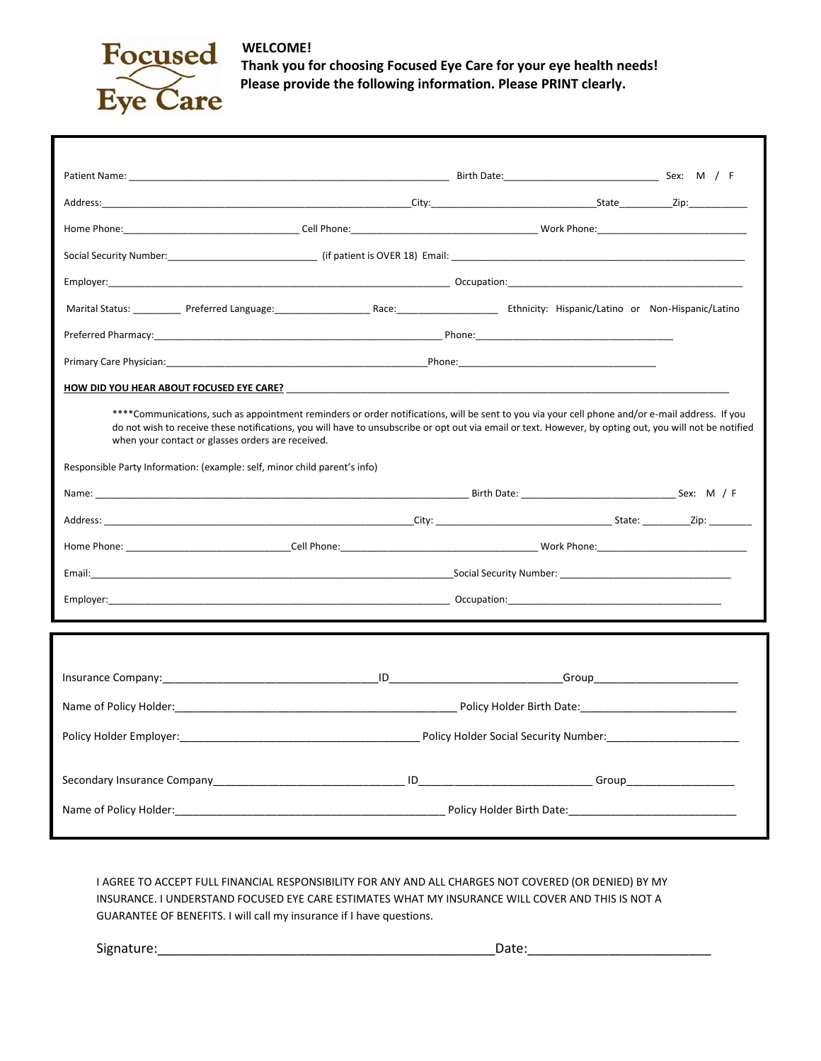

**Thank you for choosing Focused Eye Care for your eye health needs! Please provide the following information. Please PRINT clearly.**

| ****Communications, such as appointment reminders or order notifications, will be sent to you via your cell phone and/or e-mail address. If you<br>do not wish to receive these notifications, you will have to unsubscribe or opt out via email or text. However, by opting out, you will not be notified<br>when your contact or glasses orders are received. |                                                                                                                                                                                                                                |                                       |  |  |  |  |
|-----------------------------------------------------------------------------------------------------------------------------------------------------------------------------------------------------------------------------------------------------------------------------------------------------------------------------------------------------------------|--------------------------------------------------------------------------------------------------------------------------------------------------------------------------------------------------------------------------------|---------------------------------------|--|--|--|--|
| Responsible Party Information: (example: self, minor child parent's info)                                                                                                                                                                                                                                                                                       |                                                                                                                                                                                                                                |                                       |  |  |  |  |
|                                                                                                                                                                                                                                                                                                                                                                 |                                                                                                                                                                                                                                |                                       |  |  |  |  |
|                                                                                                                                                                                                                                                                                                                                                                 |                                                                                                                                                                                                                                |                                       |  |  |  |  |
|                                                                                                                                                                                                                                                                                                                                                                 |                                                                                                                                                                                                                                |                                       |  |  |  |  |
|                                                                                                                                                                                                                                                                                                                                                                 |                                                                                                                                                                                                                                |                                       |  |  |  |  |
|                                                                                                                                                                                                                                                                                                                                                                 |                                                                                                                                                                                                                                |                                       |  |  |  |  |
|                                                                                                                                                                                                                                                                                                                                                                 |                                                                                                                                                                                                                                |                                       |  |  |  |  |
|                                                                                                                                                                                                                                                                                                                                                                 |                                                                                                                                                                                                                                |                                       |  |  |  |  |
|                                                                                                                                                                                                                                                                                                                                                                 | Insurance Company: The contract of the contract of the contract of the contract of the contract of the contract of the contract of the contract of the contract of the contract of the contract of the contract of the contrac |                                       |  |  |  |  |
|                                                                                                                                                                                                                                                                                                                                                                 |                                                                                                                                                                                                                                |                                       |  |  |  |  |
| Policy Holder Employer:                                                                                                                                                                                                                                                                                                                                         |                                                                                                                                                                                                                                | Policy Holder Social Security Number: |  |  |  |  |
|                                                                                                                                                                                                                                                                                                                                                                 |                                                                                                                                                                                                                                |                                       |  |  |  |  |
|                                                                                                                                                                                                                                                                                                                                                                 |                                                                                                                                                                                                                                |                                       |  |  |  |  |
|                                                                                                                                                                                                                                                                                                                                                                 |                                                                                                                                                                                                                                |                                       |  |  |  |  |
|                                                                                                                                                                                                                                                                                                                                                                 |                                                                                                                                                                                                                                |                                       |  |  |  |  |

I AGREE TO ACCEPT FULL FINANCIAL RESPONSIBILITY FOR ANY AND ALL CHARGES NOT COVERED (OR DENIED) BY MY INSURANCE. I UNDERSTAND FOCUSED EYE CARE ESTIMATES WHAT MY INSURANCE WILL COVER AND THIS IS NOT A GUARANTEE OF BENEFITS. I will call my insurance if I have questions. option of a contact the contact of the northern interest will are received. The contact of the contact of the c<br>Interference or glasses or glasses or glasses or are received.

Signature:\_\_\_\_\_\_\_\_\_\_\_\_\_\_\_\_\_\_\_\_\_\_\_\_\_\_\_\_\_\_\_\_\_\_\_\_\_\_\_\_\_\_\_\_\_\_Date:\_\_\_\_\_\_\_\_\_\_\_\_\_\_\_\_\_\_\_\_\_\_\_\_\_